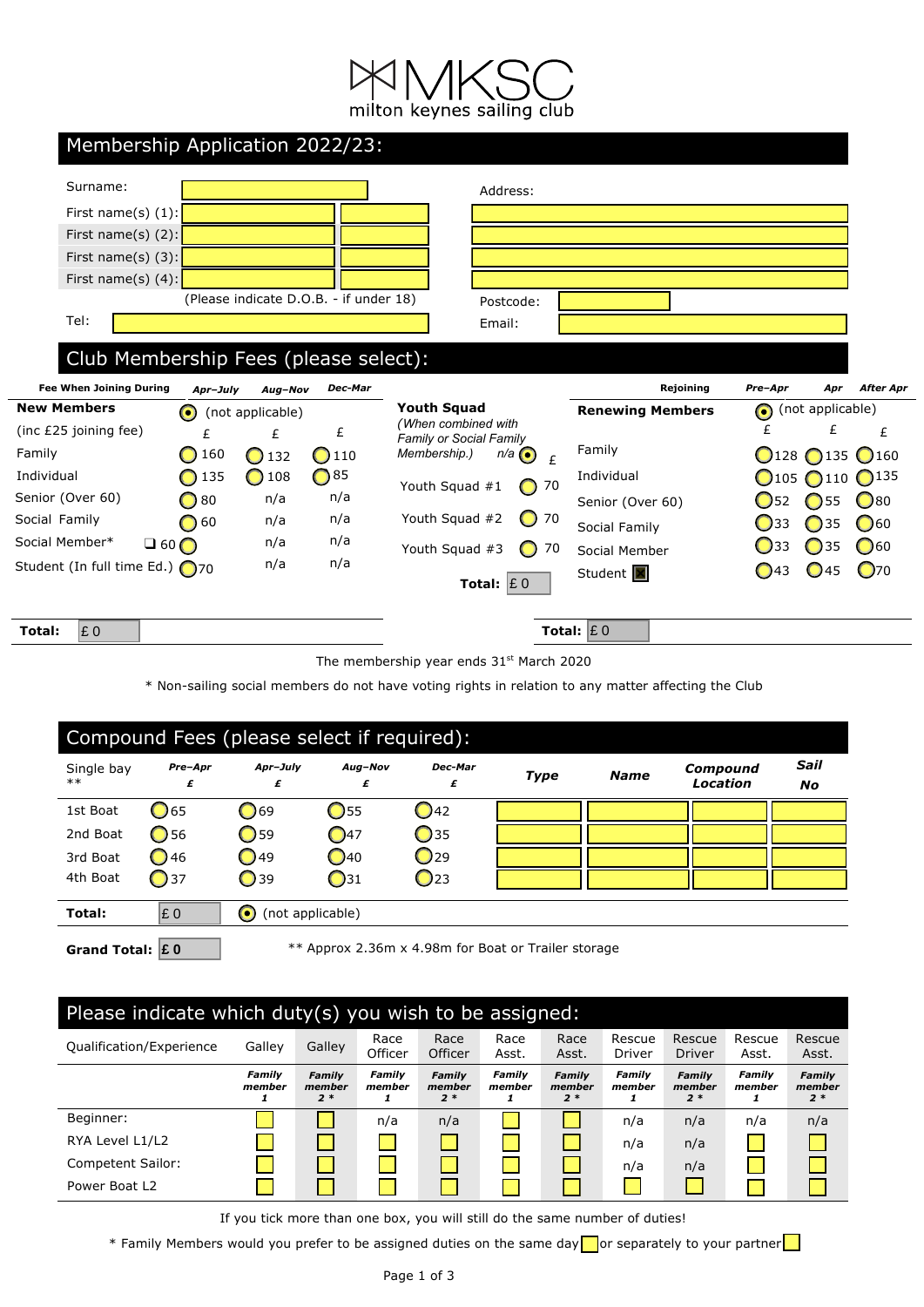| Membership Application 2022/23:       |           |                  |                                        |                                            |                         |                                              |                         |
|---------------------------------------|-----------|------------------|----------------------------------------|--------------------------------------------|-------------------------|----------------------------------------------|-------------------------|
| Surname:                              |           |                  |                                        | Address:                                   |                         |                                              |                         |
| First name(s) $(1)$ :                 |           |                  |                                        |                                            |                         |                                              |                         |
| First name(s) $(2)$ :                 |           |                  |                                        |                                            |                         |                                              |                         |
| First name(s) $(3)$ :                 |           |                  |                                        |                                            |                         |                                              |                         |
| First name(s) $(4)$ :                 |           |                  |                                        |                                            |                         |                                              |                         |
|                                       |           |                  | (Please indicate D.O.B. - if under 18) | Postcode:                                  |                         |                                              |                         |
| Tel:                                  |           |                  |                                        | Email:                                     |                         |                                              |                         |
|                                       |           |                  |                                        |                                            |                         |                                              |                         |
| Club Membership Fees (please select): |           |                  |                                        |                                            |                         |                                              |                         |
| <b>Fee When Joining During</b>        | Apr-July  | Aug-Nov          | Dec-Mar                                |                                            | Rejoining               | Pre-Apr                                      | <b>After Apr</b><br>Apr |
| <b>New Members</b>                    | $\bullet$ | (not applicable) |                                        | <b>Youth Squad</b><br>(When combined with  | <b>Renewing Members</b> | (not applicable)<br>$\bullet$                |                         |
| (inc £25 joining fee)                 | £         | £                | £                                      | Family or Social Family                    |                         | £                                            | £<br>£                  |
| Family                                | 160       | 132<br>O         | 110<br>$\bigcirc$                      | Membership.)<br>$n/a$ $\odot$<br>£         | Family                  | $\bigcirc$ 128 $\bigcirc$ 135 $\bigcirc$ 160 |                         |
| Individual                            | 135       | 108              | $\bigcirc$ 85                          | Youth Squad #1<br>$\bigcap$ 70             | Individual              | $\bigcirc$ 105<br>$\bigcirc$ 110             | $\bigcap$ 135           |
| Senior (Over 60)                      | 80        | n/a              | n/a                                    |                                            | Senior (Over 60)        | $\bigcirc$ 55<br>752                         | $\bigcirc$ 80           |
| Social Family                         | 60        | n/a              | n/a                                    | Youth Squad #2<br>$\bigcirc$ 70            | Social Family           | $\bigcirc$ 35<br>$\bigcup$ 33                | $\bigcirc$ 60           |
| Social Member*                        | $\Box$ 60 | n/a              | n/a                                    | Youth Squad #3<br>$\bigcirc$ 70            | Social Member           | $\bigcirc$ 35<br>J33                         | $\bigcirc$ 60           |
| Student (In full time Ed.) ∩70        |           | n/a              | n/a                                    |                                            | Student <b>X</b>        | $\bigcirc$ 45<br>$\bigcirc$ 43               | $\bigcirc$ 70           |
|                                       |           |                  |                                        | Total: $\mathbf{\mathsf{E}}\,0$            |                         |                                              |                         |
| $\mathbf{\mathsf{E}}\,0$<br>Total:    |           |                  |                                        |                                            | Total: $£ 0$            |                                              |                         |
|                                       |           |                  |                                        | The membership year ends $31st$ March 2020 |                         |                                              |                         |

\* Non-sailing social members do not have voting rights in relation to any matter affecting the Club

| Compound Fees (please select if required): |                                                                           |                               |               |                 |             |             |                      |                   |
|--------------------------------------------|---------------------------------------------------------------------------|-------------------------------|---------------|-----------------|-------------|-------------|----------------------|-------------------|
| Single bay<br>$**$                         | Pre-Apr<br>£                                                              | Apr-July<br>£                 | Aug-Nov<br>£  | Dec-Mar<br>£    | <b>Type</b> | <b>Name</b> | Compound<br>Location | Sail<br><b>No</b> |
| 1st Boat                                   | $\bigcirc$ 65                                                             | $\bigcirc$ 69                 | $\bigcirc$ 55 | <b>1</b> 42     |             |             |                      |                   |
| 2nd Boat                                   | $\bigcirc$ 56                                                             | $\bigcirc$ 59                 | $\bigcirc$ 47 | <b>35</b>       |             |             |                      |                   |
| 3rd Boat                                   | <b>1</b> 46                                                               | $\bigcirc$ 49                 | $\bigcirc$ 40 | $\Box$ 29       |             |             |                      |                   |
| 4th Boat                                   | $\bigcirc$ 37                                                             | $\bigcirc$ 39                 | $\bigcirc$ 31 | $\mathbf{Q}$ 23 |             |             |                      |                   |
| Total:                                     | £0                                                                        | $\bullet$<br>(not applicable) |               |                 |             |             |                      |                   |
|                                            | ** Approx 2.36m x 4.98m for Boat or Trailer storage<br>Grand Total: $E_0$ |                               |               |                 |             |             |                      |                   |

## Please indicate which duty(s) you wish to be assigned:

|                          |                         | .                               |                       |                                 | -                       |                                 |                       |                                 |                         |                          |
|--------------------------|-------------------------|---------------------------------|-----------------------|---------------------------------|-------------------------|---------------------------------|-----------------------|---------------------------------|-------------------------|--------------------------|
| Qualification/Experience | Galley                  | Galley                          | Race<br>Officer       | Race<br>Officer                 | Race<br>Asst.           | Race<br>Asst.                   | Rescue<br>Driver      | Rescue<br><b>Driver</b>         | Rescue<br>Asst.         | Rescue<br>Asst.          |
|                          | <b>Family</b><br>member | <b>Family</b><br>member<br>$2*$ | Family<br>member<br>1 | <b>Family</b><br>member<br>$2*$ | <b>Family</b><br>member | <b>Family</b><br>member<br>$2*$ | Family<br>member<br>1 | <b>Family</b><br>member<br>$2*$ | <b>Family</b><br>member | Family<br>member<br>$2*$ |
| Beginner:                |                         |                                 | n/a                   | n/a                             |                         |                                 | n/a                   | n/a                             | n/a                     | n/a                      |
| RYA Level L1/L2          |                         |                                 |                       |                                 |                         |                                 | n/a                   | n/a                             |                         |                          |
| Competent Sailor:        |                         |                                 |                       |                                 |                         |                                 | n/a                   | n/a                             |                         |                          |
| Power Boat L2            |                         |                                 |                       |                                 |                         |                                 |                       |                                 |                         |                          |

If you tick more than one box, you will still do the same number of duties!

\* Family Members would you prefer to be assigned duties on the same day or separately to your partner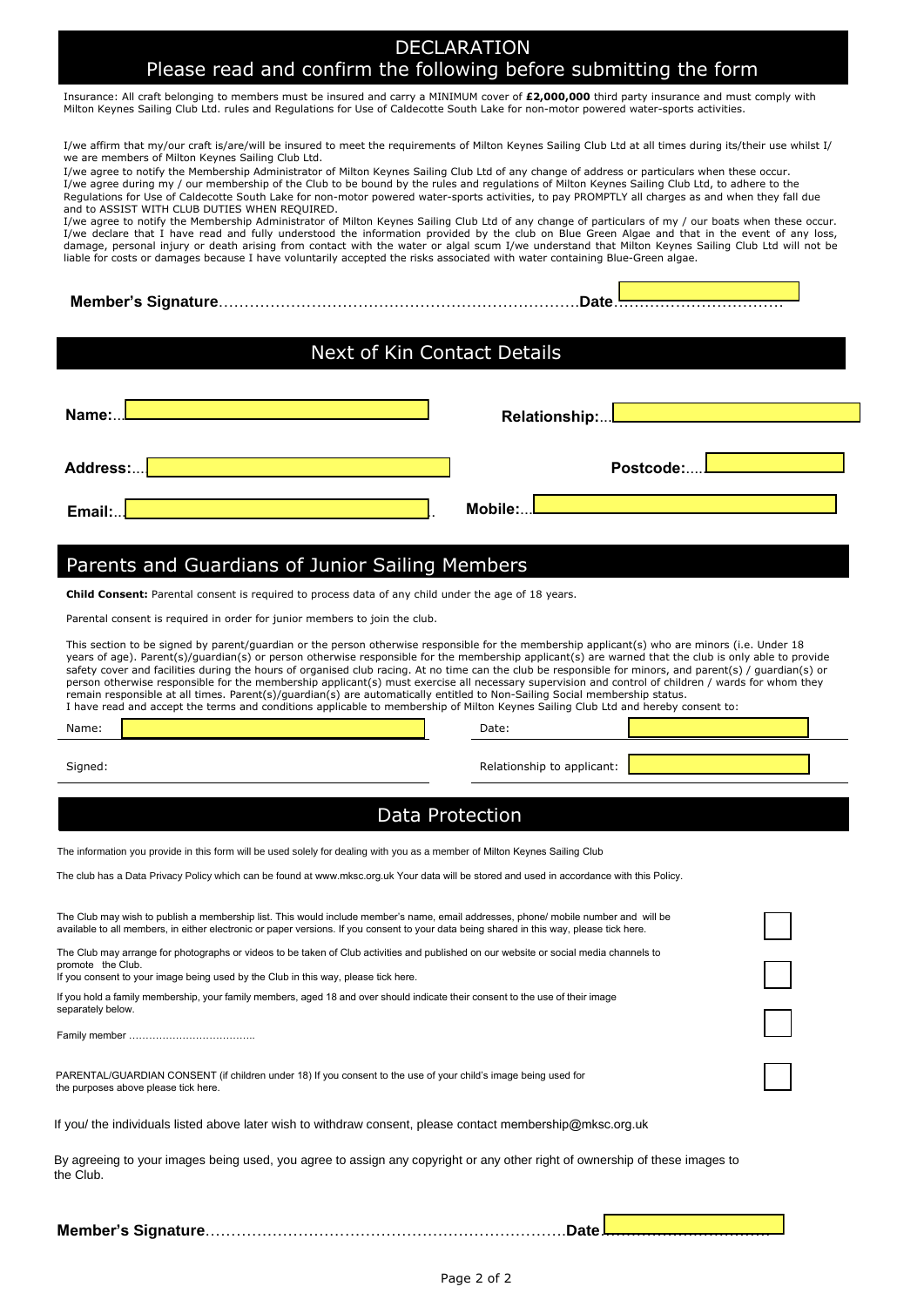## DECLARATION Please read and confirm the following before submitting the form

Insurance: All craft belonging to members must be insured and carry a MINIMUM cover of **£2,000,000** third party insurance and must comply with<br>Milton Keynes Sailing Club Ltd. rules and Regulations for Use of Caldecotte Sou

| we are members of Milton Keynes Sailing Club Ltd.<br>I/we agree to notify the Membership Administrator of Milton Keynes Sailing Club Ltd of any change of address or particulars when these occur.<br>I/we agree during my / our membership of the Club to be bound by the rules and regulations of Milton Keynes Sailing Club Ltd, to adhere to the<br>and to ASSIST WITH CLUB DUTIES WHEN REQUIRED.<br>liable for costs or damages because I have voluntarily accepted the risks associated with water containing Blue-Green algae. | I/we affirm that my/our craft is/are/will be insured to meet the requirements of Milton Keynes Sailing Club Ltd at all times during its/their use whilst I/<br>Regulations for Use of Caldecotte South Lake for non-motor powered water-sports activities, to pay PROMPTLY all charges as and when they fall due<br>I/we agree to notify the Membership Administrator of Milton Keynes Sailing Club Ltd of any change of particulars of my / our boats when these occur.<br>I/we declare that I have read and fully understood the information provided by the club on Blue Green Algae and that in the event of any loss,<br>damage, personal injury or death arising from contact with the water or algal scum I/we understand that Milton Keynes Sailing Club Ltd will not be |
|---------------------------------------------------------------------------------------------------------------------------------------------------------------------------------------------------------------------------------------------------------------------------------------------------------------------------------------------------------------------------------------------------------------------------------------------------------------------------------------------------------------------------------------|----------------------------------------------------------------------------------------------------------------------------------------------------------------------------------------------------------------------------------------------------------------------------------------------------------------------------------------------------------------------------------------------------------------------------------------------------------------------------------------------------------------------------------------------------------------------------------------------------------------------------------------------------------------------------------------------------------------------------------------------------------------------------------|
|                                                                                                                                                                                                                                                                                                                                                                                                                                                                                                                                       | Date.                                                                                                                                                                                                                                                                                                                                                                                                                                                                                                                                                                                                                                                                                                                                                                            |
|                                                                                                                                                                                                                                                                                                                                                                                                                                                                                                                                       |                                                                                                                                                                                                                                                                                                                                                                                                                                                                                                                                                                                                                                                                                                                                                                                  |
| Next of Kin Contact Details                                                                                                                                                                                                                                                                                                                                                                                                                                                                                                           |                                                                                                                                                                                                                                                                                                                                                                                                                                                                                                                                                                                                                                                                                                                                                                                  |
|                                                                                                                                                                                                                                                                                                                                                                                                                                                                                                                                       |                                                                                                                                                                                                                                                                                                                                                                                                                                                                                                                                                                                                                                                                                                                                                                                  |
| Name:                                                                                                                                                                                                                                                                                                                                                                                                                                                                                                                                 | Relationship:                                                                                                                                                                                                                                                                                                                                                                                                                                                                                                                                                                                                                                                                                                                                                                    |
|                                                                                                                                                                                                                                                                                                                                                                                                                                                                                                                                       |                                                                                                                                                                                                                                                                                                                                                                                                                                                                                                                                                                                                                                                                                                                                                                                  |
| Address:                                                                                                                                                                                                                                                                                                                                                                                                                                                                                                                              | Postcode:                                                                                                                                                                                                                                                                                                                                                                                                                                                                                                                                                                                                                                                                                                                                                                        |
|                                                                                                                                                                                                                                                                                                                                                                                                                                                                                                                                       | Mobile:                                                                                                                                                                                                                                                                                                                                                                                                                                                                                                                                                                                                                                                                                                                                                                          |
| Email:                                                                                                                                                                                                                                                                                                                                                                                                                                                                                                                                |                                                                                                                                                                                                                                                                                                                                                                                                                                                                                                                                                                                                                                                                                                                                                                                  |
| Parents and Guardians of Junior Sailing Members                                                                                                                                                                                                                                                                                                                                                                                                                                                                                       |                                                                                                                                                                                                                                                                                                                                                                                                                                                                                                                                                                                                                                                                                                                                                                                  |
| <b>Child Consent:</b> Parental consent is required to process data of any child under the age of 18 years.                                                                                                                                                                                                                                                                                                                                                                                                                            |                                                                                                                                                                                                                                                                                                                                                                                                                                                                                                                                                                                                                                                                                                                                                                                  |
| Parental consent is required in order for junior members to join the club.                                                                                                                                                                                                                                                                                                                                                                                                                                                            |                                                                                                                                                                                                                                                                                                                                                                                                                                                                                                                                                                                                                                                                                                                                                                                  |
| This section to be signed by parent/guardian or the person otherwise responsible for the membership applicant(s) who are minors (i.e. Under 18<br>remain responsible at all times. Parent(s)/guardian(s) are automatically entitled to Non-Sailing Social membership status.<br>I have read and accept the terms and conditions applicable to membership of Milton Keynes Sailing Club Ltd and hereby consent to:<br>Name:                                                                                                            | years of age). Parent(s)/guardian(s) or person otherwise responsible for the membership applicant(s) are warned that the club is only able to provide<br>safety cover and facilities during the hours of organised club racing. At no time can the club be responsible for minors, and parent(s) / guardian(s) or<br>person otherwise responsible for the membership applicant(s) must exercise all necessary supervision and control of children / wards for whom they<br>Date:                                                                                                                                                                                                                                                                                                 |
| Signed:                                                                                                                                                                                                                                                                                                                                                                                                                                                                                                                               | Relationship to applicant:                                                                                                                                                                                                                                                                                                                                                                                                                                                                                                                                                                                                                                                                                                                                                       |
|                                                                                                                                                                                                                                                                                                                                                                                                                                                                                                                                       |                                                                                                                                                                                                                                                                                                                                                                                                                                                                                                                                                                                                                                                                                                                                                                                  |
|                                                                                                                                                                                                                                                                                                                                                                                                                                                                                                                                       | Data Protection                                                                                                                                                                                                                                                                                                                                                                                                                                                                                                                                                                                                                                                                                                                                                                  |
| The information you provide in this form will be used solely for dealing with you as a member of Milton Keynes Sailing Club                                                                                                                                                                                                                                                                                                                                                                                                           |                                                                                                                                                                                                                                                                                                                                                                                                                                                                                                                                                                                                                                                                                                                                                                                  |
| The club has a Data Privacy Policy which can be found at www.mksc.org.uk Your data will be stored and used in accordance with this Policy.                                                                                                                                                                                                                                                                                                                                                                                            |                                                                                                                                                                                                                                                                                                                                                                                                                                                                                                                                                                                                                                                                                                                                                                                  |
| The Club may wish to publish a membership list. This would include member's name, email addresses, phone/ mobile number and will be<br>available to all members, in either electronic or paper versions. If you consent to your data being shared in this way, please tick here.                                                                                                                                                                                                                                                      |                                                                                                                                                                                                                                                                                                                                                                                                                                                                                                                                                                                                                                                                                                                                                                                  |
| The Club may arrange for photographs or videos to be taken of Club activities and published on our website or social media channels to<br>promote the Club.                                                                                                                                                                                                                                                                                                                                                                           |                                                                                                                                                                                                                                                                                                                                                                                                                                                                                                                                                                                                                                                                                                                                                                                  |
| If you consent to your image being used by the Club in this way, please tick here.<br>If you hold a family membership, your family members, aged 18 and over should indicate their consent to the use of their image                                                                                                                                                                                                                                                                                                                  |                                                                                                                                                                                                                                                                                                                                                                                                                                                                                                                                                                                                                                                                                                                                                                                  |
| separately below.                                                                                                                                                                                                                                                                                                                                                                                                                                                                                                                     |                                                                                                                                                                                                                                                                                                                                                                                                                                                                                                                                                                                                                                                                                                                                                                                  |
|                                                                                                                                                                                                                                                                                                                                                                                                                                                                                                                                       |                                                                                                                                                                                                                                                                                                                                                                                                                                                                                                                                                                                                                                                                                                                                                                                  |
| PARENTAL/GUARDIAN CONSENT (if children under 18) If you consent to the use of your child's image being used for<br>the purposes above please tick here.                                                                                                                                                                                                                                                                                                                                                                               |                                                                                                                                                                                                                                                                                                                                                                                                                                                                                                                                                                                                                                                                                                                                                                                  |
| If you/ the individuals listed above later wish to withdraw consent, please contact membership@mksc.org.uk                                                                                                                                                                                                                                                                                                                                                                                                                            |                                                                                                                                                                                                                                                                                                                                                                                                                                                                                                                                                                                                                                                                                                                                                                                  |
| By agreeing to your images being used, you agree to assign any copyright or any other right of ownership of these images to<br>the Club.                                                                                                                                                                                                                                                                                                                                                                                              |                                                                                                                                                                                                                                                                                                                                                                                                                                                                                                                                                                                                                                                                                                                                                                                  |
|                                                                                                                                                                                                                                                                                                                                                                                                                                                                                                                                       | Date.                                                                                                                                                                                                                                                                                                                                                                                                                                                                                                                                                                                                                                                                                                                                                                            |